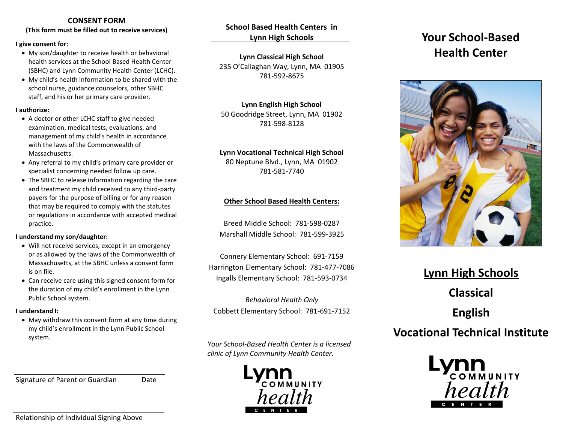# **CONSENT FORM**

**(This form must be filled out to receive services)**

#### **I give consent for:**

- My son/daughter to receive health or behavioral health services at the School Based Health Center (SBHC) and Lynn Community Health Center (LCHC).
- My child's health information to be shared with the school nurse, guidance counselors, other SBHC staff, and his or her primary care provider.

#### **I authorize:**

- A doctor or other LCHC staff to give needed examination, medical tests, evaluations, and management of my child's health in accordance with the laws of the Commonwealth of Massachusetts.
- Any referral to my child's primary care provider or specialist concerning needed follow up care.
- The SBHC to release information regarding the care and treatment my child received to any third-party payers for the purpose of billing or for any reason that may be required to comply with the statutes or regulations in accordance with accepted medical practice.

#### **I understand my son/daughter:**

- Will not receive services, except in an emergency or as allowed by the laws of the Commonwealth of Massachusetts, at the SBHC unless a consent form is on file.
- Can receive care using this signed consent form for the duration of my child's enrollment in the Lynn Public School system.

#### **I understand I:**

• May withdraw this consent form at any time during my child's enrollment in the Lynn Public School system.

Signature of Parent or Guardian Date

**School Based Health Centers in Lynn High Schools**

**Lynn Classical High School** 235 O'Callaghan Way, Lynn, MA 01905 781-592-8675

# **Lynn English High School**

50 Goodridge Street, Lynn, MA 01902 781-598-8128

# **Lynn Vocational Technical High School**

80 Neptune Blvd., Lynn, MA 01902 781-581-7740

# **Other School Based Health Centers:**

Breed Middle School: 781-598-0287 Marshall Middle School: 781-599-3925

Connery Elementary School: 691-7159 Harrington Elementary School: 781-477-7086 Ingalls Elementary School: 781-593-0734

*Behavioral Health Only* Cobbett Elementary School: 781-691-7152

*Your School-Based Health Center is a licensed clinic of Lynn Community Health Center.*



# **Your School-Based Health Center**



# **Lynn High Schools Classical English Vocational Technical Institute**



Relationship of Individual Signing Above